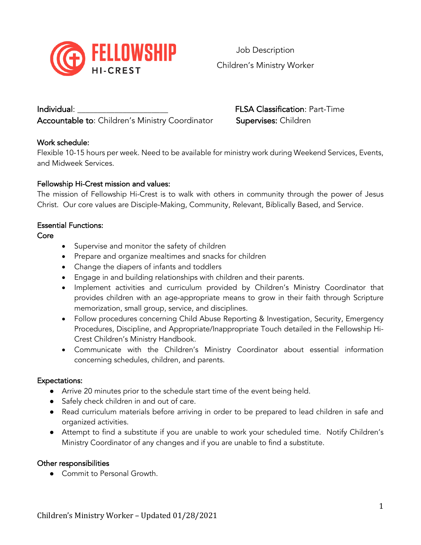

Job Description Children's Ministry Worker

Individual:  $FLSA Classification: Part-Time$ Accountable to: Children's Ministry Coordinator Supervises: Children

# Work schedule:

Flexible 10-15 hours per week. Need to be available for ministry work during Weekend Services, Events, and Midweek Services.

# Fellowship Hi-Crest mission and values:

The mission of Fellowship Hi-Crest is to walk with others in community through the power of Jesus Christ. Our core values are Disciple-Making, Community, Relevant, Biblically Based, and Service.

## Essential Functions:

# Core

- Supervise and monitor the safety of children
- Prepare and organize mealtimes and snacks for children
- Change the diapers of infants and toddlers
- Engage in and building relationships with children and their parents.
- Implement activities and curriculum provided by Children's Ministry Coordinator that provides children with an age-appropriate means to grow in their faith through Scripture memorization, small group, service, and disciplines.
- Follow procedures concerning Child Abuse Reporting & Investigation, Security, Emergency Procedures, Discipline, and Appropriate/Inappropriate Touch detailed in the Fellowship Hi-Crest Children's Ministry Handbook.
- Communicate with the Children's Ministry Coordinator about essential information concerning schedules, children, and parents.

## Expectations:

- Arrive 20 minutes prior to the schedule start time of the event being held.
- Safely check children in and out of care.
- Read curriculum materials before arriving in order to be prepared to lead children in safe and organized activities.
- Attempt to find a substitute if you are unable to work your scheduled time. Notify Children's Ministry Coordinator of any changes and if you are unable to find a substitute.

## Other responsibilities

● Commit to Personal Growth.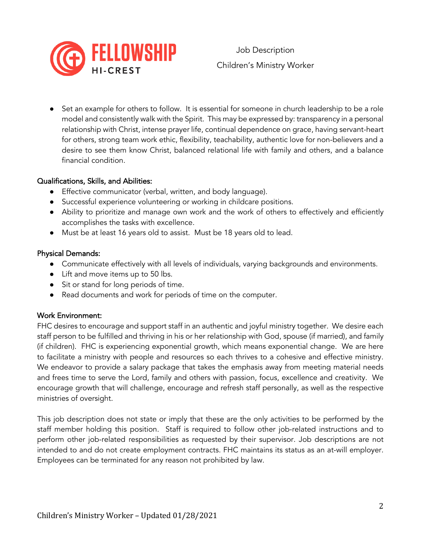

Set an example for others to follow. It is essential for someone in church leadership to be a role model and consistently walk with the Spirit. This may be expressed by: transparency in a personal relationship with Christ, intense prayer life, continual dependence on grace, having servant-heart for others, strong team work ethic, flexibility, teachability, authentic love for non-believers and a desire to see them know Christ, balanced relational life with family and others, and a balance financial condition.

#### Qualifications, Skills, and Abilities:

- Effective communicator (verbal, written, and body language).
- Successful experience volunteering or working in childcare positions.
- Ability to prioritize and manage own work and the work of others to effectively and efficiently accomplishes the tasks with excellence.
- Must be at least 16 years old to assist. Must be 18 years old to lead.

#### Physical Demands:

- Communicate effectively with all levels of individuals, varying backgrounds and environments.
- Lift and move items up to 50 lbs.
- Sit or stand for long periods of time.
- Read documents and work for periods of time on the computer.

## Work Environment:

FHC desires to encourage and support staff in an authentic and joyful ministry together. We desire each staff person to be fulfilled and thriving in his or her relationship with God, spouse (if married), and family (if children). FHC is experiencing exponential growth, which means exponential change. We are here to facilitate a ministry with people and resources so each thrives to a cohesive and effective ministry. We endeavor to provide a salary package that takes the emphasis away from meeting material needs and frees time to serve the Lord, family and others with passion, focus, excellence and creativity. We encourage growth that will challenge, encourage and refresh staff personally, as well as the respective ministries of oversight.

This job description does not state or imply that these are the only activities to be performed by the staff member holding this position. Staff is required to follow other job-related instructions and to perform other job-related responsibilities as requested by their supervisor. Job descriptions are not intended to and do not create employment contracts. FHC maintains its status as an at-will employer. Employees can be terminated for any reason not prohibited by law.